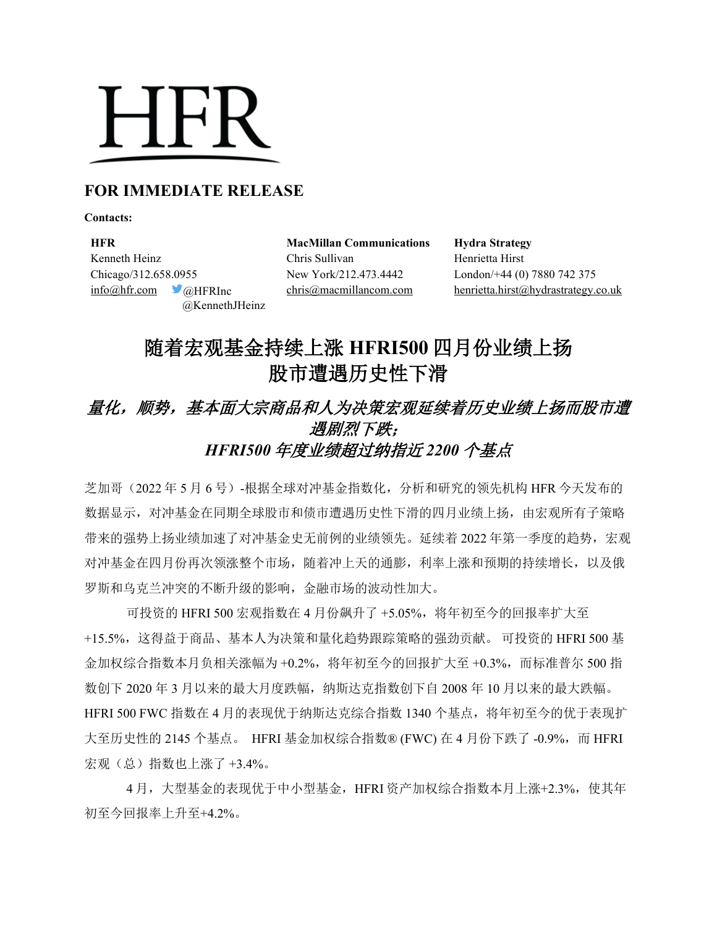# **HFR**

## **FOR IMMEDIATE RELEASE**

**Contacts:**

**HFR MacMillan Communications Hydra Strategy** Kenneth Heinz Chris Sullivan Henrietta Hirst Chicago/312.658.0955 New York/212.473.4442 London/+44 (0) 7880 742 375 @KennethJHeinz

[info@hfr.com](mailto:info@hfr.com) @HFRInc [chris@macmillancom.com](mailto:chris@macmillancom.com) henrietta.hirst@hydrastrategy.co.uk

## 随着宏观基金持续上涨 **HFRI500** 四月份业绩上扬 股市遭遇历史性下滑

## 量化,顺势,基本面大宗商品和人为决策宏观延续着历史业绩上扬而股市遭 遇剧烈下跌; *HFRI500* 年度业绩超过纳指近 *2200* 个基点

芝加哥(2022 年 5 月 6 号)-根据全球对冲基金指数化,分析和研究的领先机构 HFR 今天发布的 数据显示,对冲基金在同期全球股市和债市遭遇历史性下滑的四月业绩上扬,由宏观所有子策略 带来的强势上扬业绩加速了对冲基金史无前例的业绩领先。延续着 2022 年第一季度的趋势, 宏观 对冲基金在四月份再次领涨整个市场,随着冲上天的通膨,利率上涨和预期的持续增长,以及俄 罗斯和乌克兰冲突的不断升级的影响,金融市场的波动性加大。

可投资的 HFRI 500 宏观指数在 4 月份飙升了 +5.05%, 将年初至今的回报率扩大至 +15.5%,这得益于商品、基本人为决策和量化趋势跟踪策略的强劲贡献。 可投资的 HFRI 500 基 金加权综合指数本月负相关涨幅为 +0.2%,将年初至今的回报扩大至 +0.3%,而标准普尔 500 指 数创下 2020 年 3 月以来的最大月度跌幅,纳斯达克指数创下自 2008 年 10 月以来的最大跌幅。 HFRI 500 FWC 指数在 4 月的表现优于纳斯达克综合指数 1340 个基点,将年初至今的优于表现扩 大至历史性的 2145 个基点。 HFRI 基金加权综合指数® (FWC) 在 4 月份下跌了 -0.9%, 而 HFRI 宏观(总)指数也上涨了 +3.4%。

4月,大型基金的表现优于中小型基金,HFRI 资产加权综合指数本月上涨+2.3%, 使其年 初至今回报率上升至+4.2%。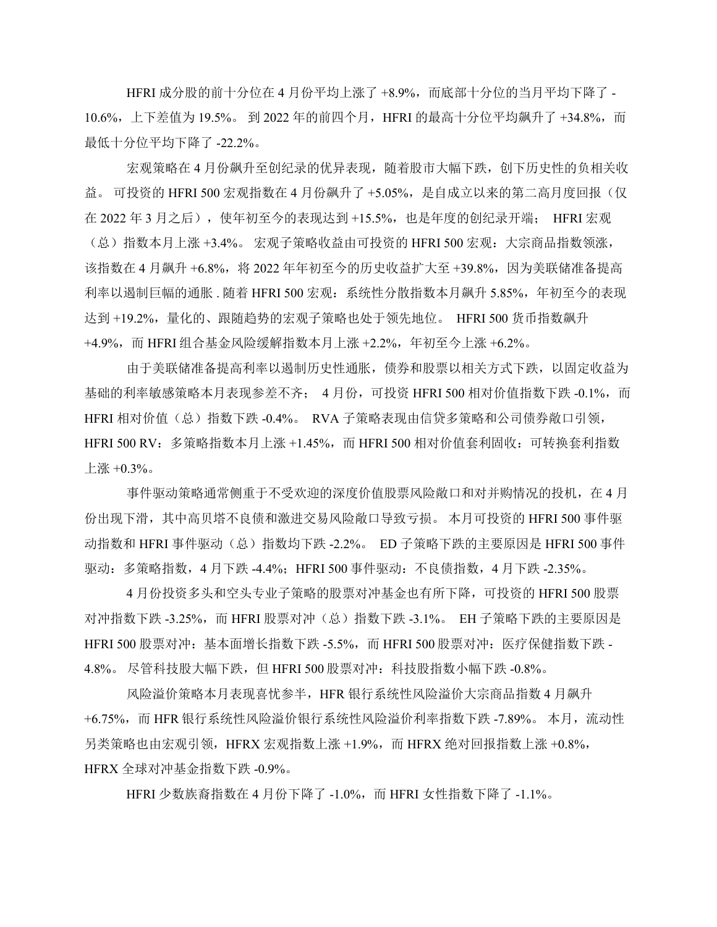HFRI 成分股的前十分位在 4 月份平均上涨了 +8.9%, 而底部十分位的当月平均下降了 -10.6%, 上下差值为 19.5%。 到 2022 年的前四个月, HFRI 的最高十分位平均飙升了 +34.8%, 而 最低十分位平均下降了 -22.2%。

宏观策略在 4 月份飙升至创纪录的优异表现,随着股市大幅下跌,创下历史性的负相关收 益。可投资的 HFRI 500 宏观指数在 4 月份飙升了 +5.05%, 是自成立以来的第二高月度回报(仅 在 2022 年 3 月之后),使年初至今的表现达到 +15.5%,也是年度的创纪录开端; HFRI 宏观 (总)指数本月上涨 +3.4%。 宏观子策略收益由可投资的 HFRI 500 宏观: 大宗商品指数领涨, 该指数在 4 月飙升 +6.8%,将 2022 年年初至今的历史收益扩大至 +39.8%,因为美联储准备提高 利率以遏制巨幅的通胀. 随着 HFRI 500 宏观: 系统性分散指数本月飙升 5.85%, 年初至今的表现 达到 +19.2%,量化的、跟随趋势的宏观子策略也处于领先地位。 HFRI 500 货币指数飙升 +4.9%,而 HFRI 组合基金风险缓解指数本月上涨 +2.2%,年初至今上涨 +6.2%。

由于美联储准备提高利率以遏制历史性通胀,债券和股票以相关方式下跌,以固定收益为 基础的利率敏感策略本月表现参差不齐; 4 月份, 可投资 HFRI 500 相对价值指数下跌 -0.1%, 而 HFRI 相对价值(总) 指数下跌 -0.4%。 RVA 子策略表现由信贷多策略和公司债券敞口引领, HFRI 500 RV: 多策略指数本月上涨 +1.45%, 而 HFRI 500 相对价值套利固收: 可转换套利指数 上涨 +0.3%。

事件驱动策略通常侧重于不受欢迎的深度价值股票风险敞口和对并购情况的投机,在 4 月 份出现下滑,其中高贝塔不良债和激进交易风险敞口导致亏损。 本月可投资的 HFRI 500 事件驱 动指数和 HFRI 事件驱动(总)指数均下跌 -2.2%。 ED 子策略下跌的主要原因是 HFRI 500 事件 驱动: 多策略指数, 4 月下跌 -4.4%;HFRI 500 事件驱动: 不良债指数, 4 月下跌 -2.35%。

4 月份投资多头和空头专业子策略的股票对冲基金也有所下降,可投资的 HFRI 500 股票 对冲指数下跌 -3.25%,而 HFRI 股票对冲(总)指数下跌 -3.1%。 EH 子策略下跌的主要原因是 HFRI 500 股票对冲: 基本面增长指数下跌 -5.5%, 而 HFRI 500 股票对冲: 医疗保健指数下跌 -4.8%。 尽管科技股大幅下跌,但 HFRI 500 股票对冲: 科技股指数小幅下跌 -0.8%。

风险溢价策略本月表现喜忧参半,HFR 银行系统性风险溢价大宗商品指数 4 月飙升 +6.75%,而 HFR 银行系统性风险溢价银行系统性风险溢价利率指数下跌 -7.89%。 本月,流动性 另类策略也由宏观引领, HFRX 宏观指数上涨 +1.9%, 而 HFRX 绝对回报指数上涨 +0.8%, HFRX 全球对冲基金指数下跌 -0.9%。

HFRI 少数族裔指数在 4 月份下降了 -1.0%, 而 HFRI 女性指数下降了 -1.1%。